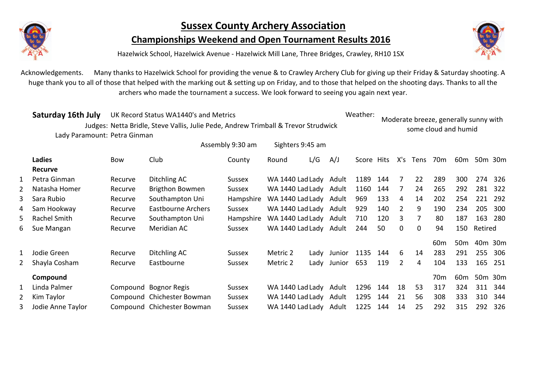

## **Sussex County Archery Association**

**Championships Weekend and Open Tournament Results 2016**



Hazelwick School, Hazelwick Avenue - Hazelwick Mill Lane, Three Bridges, Crawley, RH10 1SX

Acknowledgements. Many thanks to Hazelwick School for providing the venue & to Crawley Archery Club for giving up their Friday & Saturday shooting. A huge thank you to all of those that helped with the marking out & setting up on Friday, and to those that helped on the shooting days. Thanks to all the archers who made the tournament a success. We look forward to seeing you again next year.

|   | Saturday 16th July           | UK Record Status WA1440's and Metrics |                                                                                    |                  |                  |                  |        |            | Weather: |                |             | Moderate breeze, generally sunny with |                 |         |         |
|---|------------------------------|---------------------------------------|------------------------------------------------------------------------------------|------------------|------------------|------------------|--------|------------|----------|----------------|-------------|---------------------------------------|-----------------|---------|---------|
|   |                              |                                       | Judges: Netta Bridle, Steve Vallis, Julie Pede, Andrew Trimball & Trevor Strudwick |                  |                  |                  |        |            |          |                |             | some cloud and humid                  |                 |         |         |
|   | Lady Paramount: Petra Ginman |                                       |                                                                                    |                  |                  |                  |        |            |          |                |             |                                       |                 |         |         |
|   |                              |                                       |                                                                                    | Assembly 9:30 am |                  | Sighters 9:45 am |        |            |          |                |             |                                       |                 |         |         |
|   | <b>Ladies</b>                | <b>Bow</b>                            | Club                                                                               | County           | Round            | L/G              | A/J    | Score Hits |          | X's            | <b>Tens</b> | 70 <sub>m</sub>                       | 60 <sub>m</sub> |         | 50m 30m |
|   | <b>Recurve</b>               |                                       |                                                                                    |                  |                  |                  |        |            |          |                |             |                                       |                 |         |         |
|   | Petra Ginman                 | Recurve                               | Ditchling AC                                                                       | Sussex           | WA 1440 Lad Lady |                  | Adult  | 1189       | 144      | 7              | 22          | 289                                   | 300             | 274     | 326     |
| 2 | Natasha Homer                | Recurve                               | Brigthon Bowmen                                                                    | Sussex           | WA 1440 Lad Lady |                  | Adult  | 1160       | 144      | 7              | 24          | 265                                   | 292             | 281     | 322     |
| 3 | Sara Rubio                   | Recurve                               | Southampton Uni                                                                    | Hampshire        | WA 1440 Lad Lady |                  | Adult  | 969        | 133      | 4              | 14          | 202                                   | 254             | 221     | 292     |
| 4 | Sam Hookway                  | Recurve                               | Eastbourne Archers                                                                 | Sussex           | WA 1440 Lad Lady |                  | Adult  | 929        | 140      | $\overline{2}$ | 9           | 190                                   | 234             | 205     | 300     |
| 5 | Rachel Smith                 | Recurve                               | Southampton Uni                                                                    | Hampshire        | WA 1440 Lad Lady |                  | Adult  | 710        | 120      | 3              | 7           | 80                                    | 187             | 163     | 280     |
| 6 | Sue Mangan                   | Recurve                               | Meridian AC                                                                        | Sussex           | WA 1440 Lad Lady |                  | Adult  | 244        | 50       | 0              | $\mathbf 0$ | 94                                    | 150             | Retired |         |
|   |                              |                                       |                                                                                    |                  |                  |                  |        |            |          |                |             | 60 <sub>m</sub>                       | 50 <sub>m</sub> |         | 40m 30m |
|   | Jodie Green                  | Recurve                               | Ditchling AC                                                                       | Sussex           | Metric 2         | Lady             | Junior | 1135       | 144      | 6              | 14          | 283                                   | 291             | 255     | 306     |
| 2 | Shayla Cosham                | Recurve                               | Eastbourne                                                                         | <b>Sussex</b>    | Metric 2         | Lady             | Junior | 653        | 119      | 2              | 4           | 104                                   | 133             | 165     | 251     |
|   | Compound                     |                                       |                                                                                    |                  |                  |                  |        |            |          |                |             | 70 <sub>m</sub>                       | 60 <sub>m</sub> |         | 50m 30m |
|   | Linda Palmer                 |                                       | Compound Bognor Regis                                                              | Sussex           | WA 1440 Lad Lady |                  | Adult  | 1296       | 144      | 18             | 53          | 317                                   | 324             | 311     | 344     |
| 2 | Kim Taylor                   |                                       | Compound Chichester Bowman                                                         | <b>Sussex</b>    | WA 1440 Lad Lady |                  | Adult  | 1295       | 144      | 21             | 56          | 308                                   | 333             | 310     | 344     |
| 3 | Jodie Anne Taylor            |                                       | Compound Chichester Bowman                                                         | Sussex           | WA 1440 Lad Lady |                  | Adult  | 1225       | 144      | 14             | 25          | 292                                   | 315             | 292     | 326     |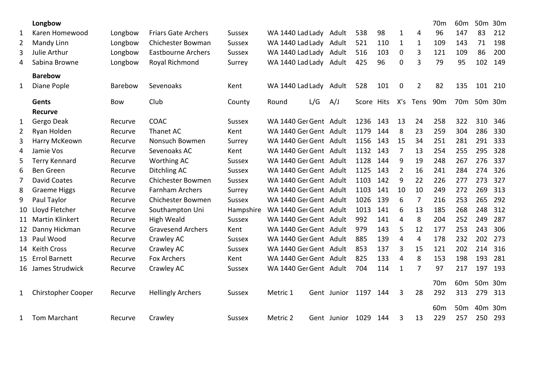|              | Longbow                   |            |                            |               |                        |     |                  |            |     |                |                | 70 <sub>m</sub> | 60 <sub>m</sub> |     | 50m 30m |
|--------------|---------------------------|------------|----------------------------|---------------|------------------------|-----|------------------|------------|-----|----------------|----------------|-----------------|-----------------|-----|---------|
| 1            | Karen Homewood            | Longbow    | <b>Friars Gate Archers</b> | <b>Sussex</b> | WA 1440 Lad Lady Adult |     |                  | 538        | 98  | $\mathbf{1}$   | 4              | 96              | 147             | 83  | 212     |
| 2            | Mandy Linn                | Longbow    | Chichester Bowman          | <b>Sussex</b> | WA 1440 Lad Lady Adult |     |                  | 521        | 110 | $\mathbf{1}$   | $\mathbf{1}$   | 109             | 143             | 71  | 198     |
| 3            | Julie Arthur              | Longbow    | <b>Eastbourne Archers</b>  | <b>Sussex</b> | WA 1440 Lad Lady Adult |     |                  | 516        | 103 | $\mathbf 0$    | 3              | 121             | 109             | 86  | 200     |
| 4            | Sabina Browne             | Longbow    | Royal Richmond             | Surrey        | WA 1440 Lad Lady Adult |     |                  | 425        | 96  | $\Omega$       | 3              | 79              | 95              | 102 | 149     |
|              | <b>Barebow</b>            |            |                            |               |                        |     |                  |            |     |                |                |                 |                 |     |         |
| $\mathbf{1}$ | Diane Pople               | Barebow    | Sevenoaks                  | Kent          | WA 1440 Lad Lady       |     | Adult            | 528        | 101 | $\mathbf 0$    | $\overline{2}$ | 82              | 135             | 101 | 210     |
|              | Gents                     | <b>Bow</b> | Club                       | County        | Round                  | L/G | A/J              | Score Hits |     | X's            | Tens           | 90 <sub>m</sub> | 70 <sub>m</sub> |     | 50m 30m |
|              | <b>Recurve</b>            |            |                            |               |                        |     |                  |            |     |                |                |                 |                 |     |         |
| $\mathbf{1}$ | Gergo Deak                | Recurve    | COAC                       | <b>Sussex</b> | WA 1440 Ger Gent Adult |     |                  | 1236       | 143 | 13             | 24             | 258             | 322             | 310 | 346     |
| 2            | Ryan Holden               | Recurve    | Thanet AC                  | Kent          | WA 1440 Ger Gent Adult |     |                  | 1179       | 144 | 8              | 23             | 259             | 304             | 286 | 330     |
| 3            | Harry McKeown             | Recurve    | Nonsuch Bowmen             | Surrey        | WA 1440 Ger Gent Adult |     |                  | 1156       | 143 | 15             | 34             | 251             | 281             | 291 | 333     |
| 4            | Jamie Vos                 | Recurve    | Sevenoaks AC               | Kent          | WA 1440 Ger Gent Adult |     |                  | 1132       | 143 | 7              | 13             | 254             | 255             | 295 | 328     |
| 5            | <b>Terry Kennard</b>      | Recurve    | <b>Worthing AC</b>         | <b>Sussex</b> | WA 1440 Ger Gent Adult |     |                  | 1128       | 144 | 9              | 19             | 248             | 267             | 276 | 337     |
| 6            | <b>Ben Green</b>          | Recurve    | Ditchling AC               | <b>Sussex</b> | WA 1440 Ger Gent Adult |     |                  | 1125       | 143 | $\overline{2}$ | 16             | 241             | 284             | 274 | 326     |
| 7            | <b>David Coates</b>       | Recurve    | <b>Chichester Bowmen</b>   | <b>Sussex</b> | WA 1440 Ger Gent Adult |     |                  | 1103       | 142 | 9              | 22             | 226             | 277             | 273 | 327     |
| 8            | <b>Graeme Higgs</b>       | Recurve    | <b>Farnham Archers</b>     | Surrey        | WA 1440 Ger Gent Adult |     |                  | 1103       | 141 | 10             | 10             | 249             | 272             | 269 | 313     |
| 9            | Paul Taylor               | Recurve    | Chichester Bowmen          | <b>Sussex</b> | WA 1440 Ger Gent Adult |     |                  | 1026       | 139 | 6              | $\overline{7}$ | 216             | 253             | 265 | 292     |
| 10           | Lloyd Fletcher            | Recurve    | Southampton Uni            | Hampshire     | WA 1440 Ger Gent Adult |     |                  | 1013       | 141 | 6              | 13             | 185             | 268             | 248 | 312     |
| 11           | Martin Klinkert           | Recurve    | High Weald                 | <b>Sussex</b> | WA 1440 Ger Gent Adult |     |                  | 992        | 141 | 4              | 8              | 204             | 252             | 249 | 287     |
| 12           | Danny Hickman             | Recurve    | <b>Gravesend Archers</b>   | Kent          | WA 1440 Ger Gent Adult |     |                  | 979        | 143 | 5              | 12             | 177             | 253             | 243 | 306     |
| 13           | Paul Wood                 | Recurve    | Crawley AC                 | <b>Sussex</b> | WA 1440 Ger Gent Adult |     |                  | 885        | 139 | 4              | 4              | 178             | 232             | 202 | 273     |
| 14           | <b>Keith Cross</b>        | Recurve    | Crawley AC                 | <b>Sussex</b> | WA 1440 Ger Gent Adult |     |                  | 853        | 137 | 3              | 15             | 121             | 202             | 214 | 316     |
| 15           | <b>Errol Barnett</b>      | Recurve    | <b>Fox Archers</b>         | Kent          | WA 1440 Ger Gent Adult |     |                  | 825        | 133 | 4              | 8              | 153             | 198             | 193 | 281     |
| 16           | James Strudwick           | Recurve    | Crawley AC                 | <b>Sussex</b> | WA 1440 Ger Gent Adult |     |                  | 704        | 114 | $\mathbf{1}$   | 7              | 97              | 217             | 197 | 193     |
|              |                           |            |                            |               |                        |     |                  |            |     |                |                | 70 <sub>m</sub> | 60 <sub>m</sub> |     | 50m 30m |
| $\mathbf{1}$ | <b>Chirstopher Cooper</b> | Recurve    | <b>Hellingly Archers</b>   | <b>Sussex</b> | Metric 1               |     | Gent Junior      | 1197       | 144 | 3              | 28             | 292             | 313             | 279 | 313     |
|              |                           |            |                            |               |                        |     |                  |            |     |                |                | 60 <sub>m</sub> | 50 <sub>m</sub> |     | 40m 30m |
| $\mathbf{1}$ | Tom Marchant              | Recurve    | Crawley                    | <b>Sussex</b> | Metric 2               |     | Gent Junior 1029 |            | 144 | 3              | 13             | 229             | 257             | 250 | 293     |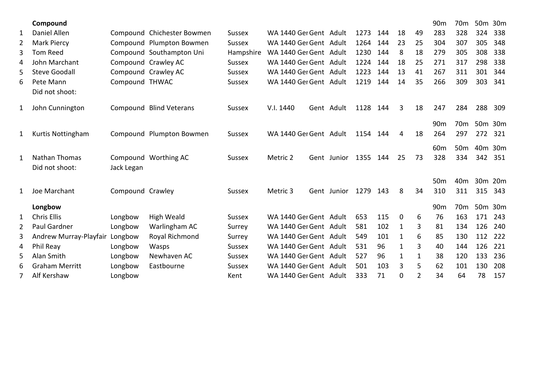|   | Compound               |                  |                            |               |                        |             |      |     |              |              | 90 <sub>m</sub> | 70m             | 50m 30m |     |
|---|------------------------|------------------|----------------------------|---------------|------------------------|-------------|------|-----|--------------|--------------|-----------------|-----------------|---------|-----|
| 1 | Daniel Allen           |                  | Compound Chichester Bowmen | <b>Sussex</b> | WA 1440 Ger Gent Adult |             | 1273 | 144 | 18           | 49           | 283             | 328             | 324     | 338 |
| 2 | <b>Mark Piercy</b>     |                  | Compound Plumpton Bowmen   | <b>Sussex</b> | WA 1440 Ger Gent Adult |             | 1264 | 144 | 23           | 25           | 304             | 307             | 305     | 348 |
| 3 | <b>Tom Reed</b>        |                  | Compound Southampton Uni   | Hampshire     | WA 1440 Ger Gent Adult |             | 1230 | 144 | 8            | 18           | 279             | 305             | 308     | 338 |
| 4 | John Marchant          |                  | Compound Crawley AC        | <b>Sussex</b> | WA 1440 Ger Gent Adult |             | 1224 | 144 | 18           | 25           | 271             | 317             | 298     | 338 |
| 5 | <b>Steve Goodall</b>   |                  | Compound Crawley AC        | <b>Sussex</b> | WA 1440 Ger Gent Adult |             | 1223 | 144 | 13           | 41           | 267             | 311             | 301     | 344 |
| 6 | Pete Mann              | Compound THWAC   |                            | Sussex        | WA 1440 Ger Gent Adult |             | 1219 | 144 | 14           | 35           | 266             | 309             | 303     | 341 |
|   | Did not shoot:         |                  |                            |               |                        |             |      |     |              |              |                 |                 |         |     |
| 1 | John Cunnington        |                  | Compound Blind Veterans    | <b>Sussex</b> | V.I. 1440              | Gent Adult  | 1128 | 144 | 3            | 18           | 247             | 284             | 288     | 309 |
|   |                        |                  |                            |               |                        |             |      |     |              |              | 90 <sub>m</sub> | 70 <sub>m</sub> | 50m 30m |     |
| 1 | Kurtis Nottingham      |                  | Compound Plumpton Bowmen   | Sussex        | WA 1440 Ger Gent Adult |             | 1154 | 144 | 4            | 18           | 264             | 297             | 272     | 321 |
|   |                        |                  |                            |               |                        |             |      |     |              |              | 60 <sub>m</sub> | 50 <sub>m</sub> | 40m 30m |     |
| 1 | Nathan Thomas          |                  | Compound Worthing AC       | <b>Sussex</b> | Metric 2               | Gent Junior | 1355 | 144 | 25           | 73           | 328             | 334             | 342     | 351 |
|   | Did not shoot:         | Jack Legan       |                            |               |                        |             |      |     |              |              |                 |                 |         |     |
|   |                        |                  |                            |               |                        |             |      |     |              |              | 50 <sub>m</sub> | 40 <sub>m</sub> | 30m 20m |     |
| 1 | Joe Marchant           | Compound Crawley |                            | Sussex        | Metric 3               | Gent Junior | 1279 | 143 | 8            | 34           | 310             | 311             | 315     | 343 |
|   | Longbow                |                  |                            |               |                        |             |      |     |              |              | 90 <sub>m</sub> | 70 <sub>m</sub> | 50m 30m |     |
| 1 | <b>Chris Ellis</b>     | Longbow          | High Weald                 | <b>Sussex</b> | WA 1440 Ger Gent Adult |             | 653  | 115 | $\mathbf{0}$ | 6            | 76              | 163             | 171     | 243 |
| 2 | <b>Paul Gardner</b>    | Longbow          | Warlingham AC              | Surrey        | WA 1440 Ger Gent Adult |             | 581  | 102 | $\mathbf{1}$ | 3            | 81              | 134             | 126     | 240 |
| 3 | Andrew Murray-Playfair | Longbow          | Royal Richmond             | Surrey        | WA 1440 Ger Gent Adult |             | 549  | 101 | $\mathbf{1}$ | 6            | 85              | 130             | 112     | 222 |
| 4 | Phil Reay              | Longbow          | Wasps                      | <b>Sussex</b> | WA 1440 Ger Gent Adult |             | 531  | 96  | 1            | 3            | 40              | 144             | 126     | 221 |
| 5 | Alan Smith             | Longbow          | Newhaven AC                | <b>Sussex</b> | WA 1440 Ger Gent Adult |             | 527  | 96  | $\mathbf{1}$ | $\mathbf{1}$ | 38              | 120             | 133     | 236 |
| 6 | <b>Graham Merritt</b>  | Longbow          | Eastbourne                 | <b>Sussex</b> | WA 1440 Ger Gent Adult |             | 501  | 103 | 3            | 5            | 62              | 101             | 130     | 208 |
|   | Alf Kershaw            | Longbow          |                            | Kent          | WA 1440 Ger Gent Adult |             | 333  | 71  | 0            | 2            | 34              | 64              | 78      | 157 |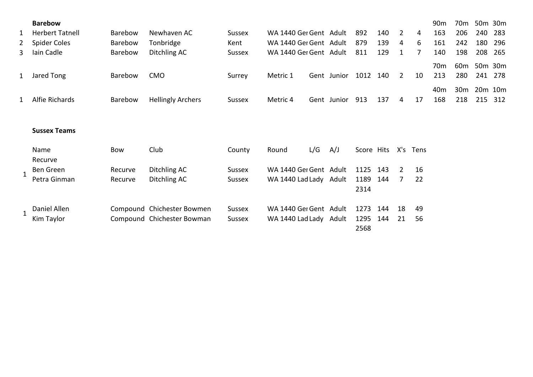|   | <b>Barebow</b>         |                |                            |               |                        |     |             |            |     |                |          | 90 <sub>m</sub> | 70 <sub>m</sub> |         | 50m 30m |
|---|------------------------|----------------|----------------------------|---------------|------------------------|-----|-------------|------------|-----|----------------|----------|-----------------|-----------------|---------|---------|
| 1 | <b>Herbert Tatnell</b> | Barebow        | Newhaven AC                | <b>Sussex</b> | WA 1440 Ger Gent Adult |     |             | 892        | 140 | $\overline{2}$ | 4        | 163             | 206             | 240     | 283     |
| 2 | <b>Spider Coles</b>    | <b>Barebow</b> | Tonbridge                  | Kent          | WA 1440 Ger Gent Adult |     |             | 879        | 139 | 4              | 6        | 161             | 242             | 180     | 296     |
| 3 | Iain Cadle             | Barebow        | Ditchling AC               | Sussex        | WA 1440 Ger Gent Adult |     |             | 811        | 129 | 1              | 7        | 140             | 198             | 208     | 265     |
|   |                        |                |                            |               |                        |     |             |            |     |                |          | 70 <sub>m</sub> | 60 <sub>m</sub> |         | 50m 30m |
|   | 1 Jared Tong           | Barebow        | <b>CMO</b>                 | Surrey        | Metric 1               |     | Gent Junior | 1012       | 140 | $\overline{2}$ | 10       | 213             | 280             | 241     | 278     |
|   |                        |                |                            |               |                        |     |             |            |     |                |          | 40 <sub>m</sub> | 30 <sub>m</sub> | 20m 10m |         |
| 1 | Alfie Richards         | Barebow        | <b>Hellingly Archers</b>   | <b>Sussex</b> | Metric 4               |     | Gent Junior | 913        | 137 | 4              | 17       | 168             | 218             | 215     | 312     |
|   |                        |                |                            |               |                        |     |             |            |     |                |          |                 |                 |         |         |
|   | <b>Sussex Teams</b>    |                |                            |               |                        |     |             |            |     |                |          |                 |                 |         |         |
|   | Name                   | Bow            | Club                       | County        | Round                  | L/G | A/J         | Score Hits |     |                | X's Tens |                 |                 |         |         |
|   | Recurve                |                |                            |               |                        |     |             |            |     |                |          |                 |                 |         |         |
|   | Ben Green              | Recurve        | Ditchling AC               | Sussex        | WA 1440 Ger Gent Adult |     |             | 1125       | 143 | 2              | 16       |                 |                 |         |         |
|   | Petra Ginman           | Recurve        | Ditchling AC               | <b>Sussex</b> | WA 1440 Lad Lady Adult |     |             | 1189       | 144 | 7              | 22       |                 |                 |         |         |
|   |                        |                |                            |               |                        |     |             | 2314       |     |                |          |                 |                 |         |         |
|   | Daniel Allen           |                | Compound Chichester Bowmen | <b>Sussex</b> | WA 1440 Ger Gent Adult |     |             | 1273       | 144 | 18             | 49       |                 |                 |         |         |
|   | Kim Taylor             |                | Compound Chichester Bowman | <b>Sussex</b> | WA 1440 Lad Lady Adult |     |             | 1295       | 144 | 21             | 56       |                 |                 |         |         |
|   |                        |                |                            |               |                        |     |             | 2568       |     |                |          |                 |                 |         |         |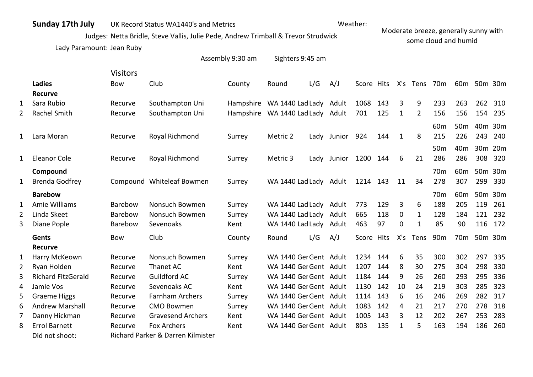## **Sunday 17th July** UK Record Status WA1440's and Metrics

## Weather:

Judges: Netta Bridle, Steve Vallis, Julie Pede, Andrew Trimball & Trevor Strudwick

Moderate breeze, generally sunny with some cloud and humid

Lady Paramount: Jean Ruby

|   |                           |                 |                                   | Assembly 9:30 am | Sighters 9:45 am                 |     |                      |            |     |              |              |                 |                 |                 |                 |
|---|---------------------------|-----------------|-----------------------------------|------------------|----------------------------------|-----|----------------------|------------|-----|--------------|--------------|-----------------|-----------------|-----------------|-----------------|
|   |                           | <b>Visitors</b> |                                   |                  |                                  |     |                      |            |     |              |              |                 |                 |                 |                 |
|   | Ladies                    | <b>Bow</b>      | Club                              | County           | Round                            | L/G | A/J                  | Score Hits |     |              | X's Tens 70m |                 |                 | 60m 50m 30m     |                 |
|   | <b>Recurve</b>            |                 |                                   |                  |                                  |     |                      |            |     |              |              |                 |                 |                 |                 |
| 1 | Sara Rubio                | Recurve         | Southampton Uni                   |                  | Hampshire WA 1440 Lad Lady Adult |     |                      | 1068       | 143 | 3            | 9            | 233             | 263             | 262             | 310             |
| 2 | <b>Rachel Smith</b>       | Recurve         | Southampton Uni                   |                  | Hampshire WA 1440 Lad Lady Adult |     |                      | 701        | 125 | $\mathbf{1}$ | 2            | 156             | 156             | 154             | 235             |
|   |                           |                 |                                   |                  |                                  |     |                      |            |     |              |              | 60 <sub>m</sub> | 50 <sub>m</sub> | 40 <sub>m</sub> | 30 <sub>m</sub> |
| 1 | Lara Moran                | Recurve         | Royal Richmond                    | Surrey           | Metric 2                         |     | Lady Junior 924      |            | 144 | $\mathbf{1}$ | 8            | 215             | 226             | 243             | 240             |
|   |                           |                 |                                   |                  |                                  |     |                      |            |     |              |              | 50 <sub>m</sub> | 40 <sub>m</sub> |                 | 30m 20m         |
| 1 | <b>Eleanor Cole</b>       | Recurve         | Royal Richmond                    | Surrey           | Metric 3                         |     | Lady Junior 1200 144 |            |     | 6            | 21           | 286             | 286             | 308             | 320             |
|   | Compound                  |                 |                                   |                  |                                  |     |                      |            |     |              |              | 70 <sub>m</sub> | 60 <sub>m</sub> |                 | 50m 30m         |
| 1 | <b>Brenda Godfrey</b>     |                 | Compound Whiteleaf Bowmen         | Surrey           | WA 1440 Lad Lady Adult           |     |                      | 1214 143   |     | 11           | 34           | 278             | 307             | 299             | 330             |
|   | <b>Barebow</b>            |                 |                                   |                  |                                  |     |                      |            |     |              |              | 70 <sub>m</sub> | 60 <sub>m</sub> |                 | 50m 30m         |
| 1 | Amie Williams             | Barebow         | Nonsuch Bowmen                    | Surrey           | WA 1440 Lad Lady Adult           |     |                      | 773        | 129 | 3            | 6            | 188             | 205             | 119             | 261             |
| 2 | Linda Skeet               | Barebow         | Nonsuch Bowmen                    | Surrey           | WA 1440 Lad Lady Adult           |     |                      | 665        | 118 | $\mathbf 0$  | 1            | 128             | 184             | 121             | 232             |
| 3 | Diane Pople               | Barebow         | Sevenoaks                         | Kent             | WA 1440 Lad Lady Adult           |     |                      | 463        | 97  | 0            | $\mathbf{1}$ | 85              | 90              | 116             | 172             |
|   | Gents                     | <b>Bow</b>      | Club                              | County           | Round                            | L/G | A/J                  | Score Hits |     | X's          | Tens         | 90 <sub>m</sub> | 70 <sub>m</sub> |                 | 50m 30m         |
|   | <b>Recurve</b>            |                 |                                   |                  |                                  |     |                      |            |     |              |              |                 |                 |                 |                 |
| 1 | Harry McKeown             | Recurve         | Nonsuch Bowmen                    | Surrey           | WA 1440 Ger Gent Adult           |     |                      | 1234       | 144 | 6            | 35           | 300             | 302             | 297             | 335             |
| 2 | Ryan Holden               | Recurve         | Thanet AC                         | Kent             | WA 1440 Ger Gent Adult           |     |                      | 1207       | 144 | 8            | 30           | 275             | 304             | 298             | 330             |
| 3 | <b>Richard FitzGerald</b> | Recurve         | Guildford AC                      | Surrey           | WA 1440 Ger Gent Adult           |     |                      | 1184       | 144 | 9            | 26           | 260             | 293             | 295             | 336             |
| 4 | Jamie Vos                 | Recurve         | Sevenoaks AC                      | Kent             | WA 1440 Ger Gent Adult           |     |                      | 1130       | 142 | 10           | 24           | 219             | 303             | 285             | 323             |
| 5 | <b>Graeme Higgs</b>       | Recurve         | <b>Farnham Archers</b>            | Surrey           | WA 1440 Ger Gent Adult           |     |                      | 1114       | 143 | 6            | 16           | 246             | 269             | 282             | 317             |
| 6 | <b>Andrew Marshall</b>    | Recurve         | <b>CMO Bowmen</b>                 | Surrey           | WA 1440 Ger Gent Adult           |     |                      | 1083       | 142 | 4            | 21           | 217             | 270             | 278             | 318             |
| 7 | Danny Hickman             | Recurve         | <b>Gravesend Archers</b>          | Kent             | WA 1440 Ger Gent Adult           |     |                      | 1005       | 143 | 3            | 12           | 202             | 267             | 253             | 283             |
| 8 | <b>Errol Barnett</b>      | Recurve         | Fox Archers                       | Kent             | WA 1440 Ger Gent Adult           |     |                      | 803        | 135 | 1            | 5            | 163             | 194             | 186             | 260             |
|   | Did not shoot:            |                 | Richard Parker & Darren Kilmister |                  |                                  |     |                      |            |     |              |              |                 |                 |                 |                 |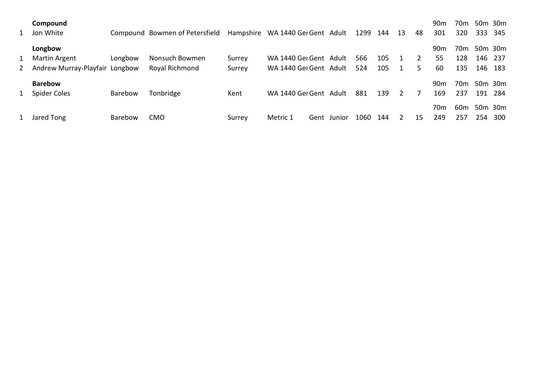| Compound<br>1 Jon White          |         | Compound Bowmen of Petersfield |        | Hampshire WA 1440 Ger Gent Adult |      |        | 1299 | 144 | 13 | 48 | 90 <sub>m</sub><br>301 | 70m<br>320      | 50m 30m<br>333 | -345 |
|----------------------------------|---------|--------------------------------|--------|----------------------------------|------|--------|------|-----|----|----|------------------------|-----------------|----------------|------|
| Longbow                          |         |                                |        |                                  |      |        |      |     |    |    | 90m                    | 70 <sub>m</sub> | 50m 30m        |      |
| 1 Martin Argent                  | Longbow | Nonsuch Bowmen                 | Surrey | WA 1440 Ger Gent Adult           |      |        | 566  | 105 |    | 2  | 55                     | 128             | 146            | -237 |
| 2 Andrew Murray-Playfair Longbow |         | Royal Richmond                 | Surrey | WA 1440 Ger Gent Adult           |      |        | 524  | 105 |    | 5  | 60                     | 135             | 146            | 183  |
| <b>Barebow</b>                   |         |                                |        |                                  |      |        |      |     |    |    | 90 <sub>m</sub>        | 70 <sub>m</sub> | 50m 30m        |      |
| 1 Spider Coles                   | Barebow | Tonbridge                      | Kent   | WA 1440 Ger Gent Adult           |      |        | 881  | 139 | 2  |    | 169                    | 237             | 191            | -284 |
|                                  |         |                                |        |                                  |      |        |      |     |    |    | 70m                    | 60 <sub>m</sub> | 50m 30m        |      |
| 1 Jared Tong                     | Barebow | <b>CMO</b>                     | Surrey | Metric 1                         | Gent | Junior | 1060 | 144 |    | 15 | 249                    | 257             | 254            | 300  |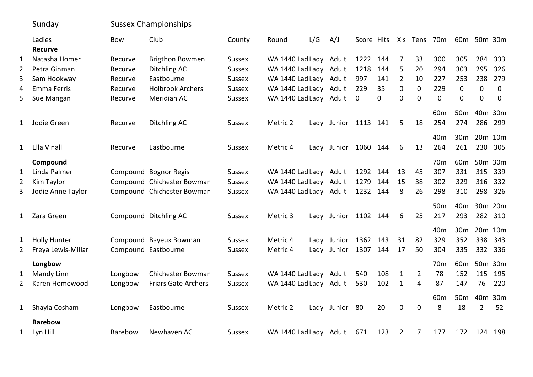|              | Sunday                   |            | <b>Sussex Championships</b> |               |                        |     |                      |             |          |                |                |                 |                 |                 |                                 |
|--------------|--------------------------|------------|-----------------------------|---------------|------------------------|-----|----------------------|-------------|----------|----------------|----------------|-----------------|-----------------|-----------------|---------------------------------|
|              | Ladies<br><b>Recurve</b> | <b>Bow</b> | Club                        | County        | Round                  | L/G | A/J                  | Score Hits  |          |                | X's Tens       | 70m             | 60 <sub>m</sub> |                 | 50m 30m                         |
| $\mathbf{1}$ | Natasha Homer            | Recurve    | <b>Brigthon Bowmen</b>      | <b>Sussex</b> | WA 1440 Lad Lady Adult |     |                      | 1222        | 144      | 7              | 33             | 300             | 305             | 284             | 333                             |
| 2            | Petra Ginman             | Recurve    | Ditchling AC                | <b>Sussex</b> | WA 1440 Lad Lady Adult |     |                      | 1218        | 144      | 5              | 20             | 294             | 303             | 295             | 326                             |
| 3            | Sam Hookway              | Recurve    | Eastbourne                  | <b>Sussex</b> | WA 1440 Lad Lady Adult |     |                      | 997         | 141      | $\overline{2}$ | 10             | 227             | 253             | 238             | 279                             |
| 4            | <b>Emma Ferris</b>       | Recurve    | <b>Holbrook Archers</b>     | <b>Sussex</b> | WA 1440 Lad Lady Adult |     |                      | 229         | 35       | 0              | $\mathbf 0$    | 229             | $\mathbf 0$     | $\overline{0}$  | $\mathbf 0$                     |
| 5            | Sue Mangan               | Recurve    | Meridian AC                 | <b>Sussex</b> | WA 1440 Lad Lady Adult |     |                      | $\mathbf 0$ | $\Omega$ | $\Omega$       | $\Omega$       | $\mathbf 0$     | $\mathbf 0$     | $\Omega$        | $\mathbf 0$                     |
|              |                          |            |                             |               |                        |     |                      |             |          |                |                | 60 <sub>m</sub> | 50 <sub>m</sub> | 40 <sub>m</sub> | 30 <sub>m</sub>                 |
| 1            | Jodie Green              | Recurve    | Ditchling AC                | Sussex        | Metric 2               |     | Lady Junior 1113 141 |             |          | 5              | 18             | 254             | 274             | 286             | 299                             |
|              |                          |            |                             |               |                        |     |                      |             |          |                |                | 40 <sub>m</sub> | 30 <sub>m</sub> |                 | 20 <sub>m</sub> 10 <sub>m</sub> |
| 1            | Ella Vinall              | Recurve    | Eastbourne                  | <b>Sussex</b> | Metric 4               |     | Lady Junior          | 1060        | 144      | 6              | 13             | 264             | 261             | 230             | 305                             |
|              | Compound                 |            |                             |               |                        |     |                      |             |          |                |                | 70 <sub>m</sub> | 60 <sub>m</sub> | 50 <sub>m</sub> | 30 <sub>m</sub>                 |
| 1            | Linda Palmer             |            | Compound Bognor Regis       | <b>Sussex</b> | WA 1440 Lad Lady Adult |     |                      | 1292        | 144      | 13             | 45             | 307             | 331             | 315             | 339                             |
| 2            | Kim Taylor               |            | Compound Chichester Bowman  | <b>Sussex</b> | WA 1440 Lad Lady Adult |     |                      | 1279        | 144      | 15             | 38             | 302             | 329             | 316             | 332                             |
| 3            | Jodie Anne Taylor        |            | Compound Chichester Bowman  | <b>Sussex</b> | WA 1440 Lad Lady Adult |     |                      | 1232 144    |          | 8              | 26             | 298             | 310             | 298             | 326                             |
|              |                          |            |                             |               |                        |     |                      |             |          |                |                | 50 <sub>m</sub> | 40 <sub>m</sub> | 30 <sub>m</sub> | 20m                             |
| 1            | Zara Green               |            | Compound Ditchling AC       | <b>Sussex</b> | Metric 3               |     | Lady Junior          | 1102 144    |          | 6              | 25             | 217             | 293             | 282             | 310                             |
|              |                          |            |                             |               |                        |     |                      |             |          |                |                | 40 <sub>m</sub> | 30 <sub>m</sub> |                 | 20m 10m                         |
| 1            | <b>Holly Hunter</b>      |            | Compound Bayeux Bowman      | Sussex        | Metric 4               |     | Lady Junior          | 1362        | 143      | 31             | 82             | 329             | 352             | 338             | 343                             |
| 2            | Freya Lewis-Millar       |            | Compound Eastbourne         | <b>Sussex</b> | Metric 4               |     | Lady Junior          | 1307        | 144      | 17             | 50             | 304             | 335             | 332             | 336                             |
|              | Longbow                  |            |                             |               |                        |     |                      |             |          |                |                | 70 <sub>m</sub> | 60 <sub>m</sub> |                 | 50m 30m                         |
| 1            | Mandy Linn               | Longbow    | <b>Chichester Bowman</b>    | <b>Sussex</b> | WA 1440 Lad Lady Adult |     |                      | 540         | 108      | $\mathbf{1}$   | $\overline{2}$ | 78              | 152             | 115             | 195                             |
| 2            | Karen Homewood           | Longbow    | <b>Friars Gate Archers</b>  | <b>Sussex</b> | WA 1440 Lad Lady Adult |     |                      | 530         | 102      | $\mathbf{1}$   | 4              | 87              | 147             | 76              | 220                             |
|              |                          |            |                             |               |                        |     |                      |             |          |                |                | 60 <sub>m</sub> | 50 <sub>m</sub> | 40 <sub>m</sub> | 30 <sub>m</sub>                 |
| 1            | Shayla Cosham            | Longbow    | Eastbourne                  | <b>Sussex</b> | Metric 2               |     | Lady Junior          | - 80        | 20       | $\pmb{0}$      | $\mathbf 0$    | 8               | 18              | $\overline{2}$  | 52                              |
|              | <b>Barebow</b>           |            |                             |               |                        |     |                      |             |          |                |                |                 |                 |                 |                                 |
| 1            | Lyn Hill                 | Barebow    | Newhaven AC                 | <b>Sussex</b> | WA 1440 Lad Lady Adult |     |                      | 671         | 123      | $\overline{2}$ | 7              | 177             | 172             | 124             | 198                             |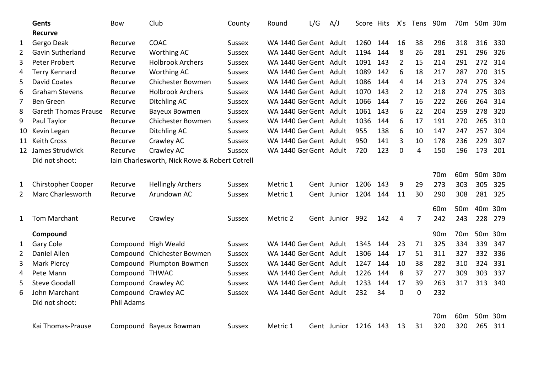|                | <b>Gents</b>                                   | <b>Bow</b>     | Club                                          | County        | Round                  | L/G | A/J         | Score Hits |      | X's      | Tens           | 90 <sub>m</sub> | 70 <sub>m</sub> | 50m 30m |     |
|----------------|------------------------------------------------|----------------|-----------------------------------------------|---------------|------------------------|-----|-------------|------------|------|----------|----------------|-----------------|-----------------|---------|-----|
|                | <b>Recurve</b>                                 |                |                                               |               |                        |     |             |            |      |          |                |                 |                 |         |     |
| 1              | Gergo Deak                                     | Recurve        | <b>COAC</b>                                   | <b>Sussex</b> | WA 1440 Ger Gent Adult |     |             | 1260       | 144  | 16       | 38             | 296             | 318             | 316     | 330 |
| $\overline{2}$ | Gavin Sutherland                               | Recurve        | <b>Worthing AC</b>                            | <b>Sussex</b> | WA 1440 Ger Gent Adult |     |             | 1194       | 144  | 8        | 26             | 281             | 291             | 296     | 326 |
| 3              | Peter Probert                                  | Recurve        | <b>Holbrook Archers</b>                       | <b>Sussex</b> | WA 1440 Ger Gent Adult |     |             | 1091       | 143  | 2        | 15             | 214             | 291             | 272     | 314 |
| 4              | <b>Terry Kennard</b>                           | Recurve        | Worthing AC                                   | <b>Sussex</b> | WA 1440 Ger Gent Adult |     |             | 1089       | 142  | 6        | 18             | 217             | 287             | 270     | 315 |
| 5              | <b>David Coates</b>                            | Recurve        | Chichester Bowmen                             | <b>Sussex</b> | WA 1440 Ger Gent Adult |     |             | 1086       | 144  | 4        | 14             | 213             | 274             | 275     | 324 |
| 6              | <b>Graham Stevens</b>                          | Recurve        | <b>Holbrook Archers</b>                       | <b>Sussex</b> | WA 1440 Ger Gent Adult |     |             | 1070       | 143  | 2        | 12             | 218             | 274             | 275     | 303 |
| 7              | Ben Green                                      | Recurve        | Ditchling AC                                  | <b>Sussex</b> | WA 1440 Ger Gent Adult |     |             | 1066       | 144  | 7        | 16             | 222             | 266             | 264     | 314 |
| 8              | <b>Gareth Thomas Prause</b>                    | Recurve        | <b>Bayeux Bowmen</b>                          | <b>Sussex</b> | WA 1440 Ger Gent Adult |     |             | 1061       | 143  | 6        | 22             | 204             | 259             | 278     | 320 |
| 9              | Paul Taylor                                    | Recurve        | Chichester Bowmen                             | <b>Sussex</b> | WA 1440 Ger Gent Adult |     |             | 1036       | 144  | 6        | 17             | 191             | 270             | 265     | 310 |
| 10             | Kevin Legan                                    | Recurve        | Ditchling AC                                  | <b>Sussex</b> | WA 1440 Ger Gent Adult |     |             | 955        | 138  | 6        | 10             | 147             | 247             | 257     | 304 |
| 11             | <b>Keith Cross</b>                             | Recurve        | Crawley AC                                    | <b>Sussex</b> | WA 1440 Ger Gent Adult |     |             | 950        | 141  | 3        | 10             | 178             | 236             | 229     | 307 |
|                | 12 James Strudwick                             | Recurve        | Crawley AC                                    | <b>Sussex</b> | WA 1440 Ger Gent Adult |     |             | 720        | 123  | 0        | 4              | 150             | 196             | 173     | 201 |
|                | Did not shoot:                                 |                | Iain Charlesworth, Nick Rowe & Robert Cotrell |               |                        |     |             |            |      |          |                |                 |                 |         |     |
|                |                                                |                |                                               |               |                        |     |             |            |      |          |                | 70 <sub>m</sub> | 60 <sub>m</sub> | 50m 30m |     |
|                |                                                | Recurve        |                                               |               | Metric 1               |     | Gent Junior | 1206       | 143  | 9        | 29             | 273             | 303             | 305     | 325 |
| 1              | <b>Chirstopher Cooper</b><br>Marc Charlesworth | Recurve        | <b>Hellingly Archers</b><br>Arundown AC       | Sussex        | Metric 1               |     |             | 1204       | 144  | 11       | 30             | 290             | 308             | 281     | 325 |
| 2              |                                                |                |                                               | <b>Sussex</b> |                        |     | Gent Junior |            |      |          |                |                 |                 |         |     |
|                |                                                |                |                                               |               |                        |     |             |            |      |          |                | 60 <sub>m</sub> | 50 <sub>m</sub> | 40m 30m |     |
| 1              | Tom Marchant                                   | Recurve        | Crawley                                       | <b>Sussex</b> | Metric 2               |     | Gent Junior | 992        | 142  | 4        | $\overline{7}$ | 242             | 243             | 228     | 279 |
|                | Compound                                       |                |                                               |               |                        |     |             |            |      |          |                | 90 <sub>m</sub> | 70 <sub>m</sub> | 50m 30m |     |
| 1              | Gary Cole                                      |                | Compound High Weald                           | <b>Sussex</b> | WA 1440 Ger Gent Adult |     |             | 1345       | 144  | 23       | 71             | 325             | 334             | 339     | 347 |
| $\overline{2}$ | Daniel Allen                                   |                | Compound Chichester Bowmen                    | <b>Sussex</b> | WA 1440 Ger Gent Adult |     |             | 1306       | 144  | 17       | 51             | 311             | 327             | 332     | 336 |
| 3              | <b>Mark Piercy</b>                             |                | Compound Plumpton Bowmen                      | <b>Sussex</b> | WA 1440 Ger Gent Adult |     |             | 1247       | 144  | 10       | 38             | 282             | 310             | 324     | 331 |
| 4              | Pete Mann                                      | Compound THWAC |                                               | <b>Sussex</b> | WA 1440 Ger Gent Adult |     |             | 1226       | 144  | 8        | 37             | 277             | 309             | 303     | 337 |
| 5              | <b>Steve Goodall</b>                           |                | Compound Crawley AC                           | Sussex        | WA 1440 Ger Gent Adult |     |             | 1233       | 144  | 17       | 39             | 263             | 317             | 313     | 340 |
| 6              | John Marchant                                  |                | Compound Crawley AC                           | Sussex        | WA 1440 Ger Gent Adult |     |             | 232        | 34   | $\Omega$ | $\mathbf 0$    | 232             |                 |         |     |
|                | Did not shoot:                                 | Phil Adams     |                                               |               |                        |     |             |            |      |          |                |                 |                 |         |     |
|                |                                                |                |                                               |               |                        |     |             |            |      |          |                |                 |                 |         |     |
|                |                                                |                |                                               |               |                        |     |             |            |      |          |                | 70 <sub>m</sub> | 60 <sub>m</sub> | 50m 30m |     |
|                | Kai Thomas-Prause                              |                | Compound Bayeux Bowman                        | Sussex        | Metric 1               |     | Gent Junior | 1216       | -143 | 13       | 31             | 320             | 320             | 265     | 311 |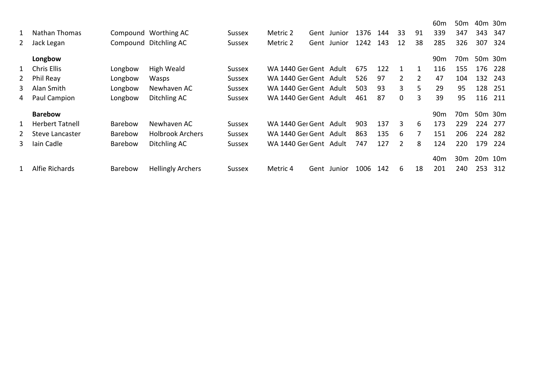|              |                        |                |                          |               |                        |             |      |     |                |                | 60 <sub>m</sub> | 50 <sub>m</sub> | 40m | 30m                             |
|--------------|------------------------|----------------|--------------------------|---------------|------------------------|-------------|------|-----|----------------|----------------|-----------------|-----------------|-----|---------------------------------|
|              | Nathan Thomas          |                | Compound Worthing AC     | <b>Sussex</b> | Metric 2               | Gent Junior | 1376 | 144 | 33             | 91             | 339             | 347             | 343 | 347                             |
| 2            | Jack Legan             |                | Compound Ditchling AC    | <b>Sussex</b> | Metric 2               | Gent Junior | 1242 | 143 | 12             | 38             | 285             | 326             | 307 | 324                             |
|              | Longbow                |                |                          |               |                        |             |      |     |                |                | 90 <sub>m</sub> | 70 <sub>m</sub> |     | 50m 30m                         |
| $\mathbf{1}$ | Chris Ellis            | Longbow        | High Weald               | <b>Sussex</b> | WA 1440 Ger Gent Adult |             | 675  | 122 | 1              | 1              | 116             | 155             | 176 | -228                            |
| 2            | Phil Reay              | Longbow        | Wasps                    | <b>Sussex</b> | WA 1440 Ger Gent Adult |             | 526  | 97  | $\overline{2}$ | $\overline{2}$ | 47              | 104             | 132 | 243                             |
| 3            | Alan Smith             | Longbow        | Newhaven AC              | Sussex        | WA 1440 Ger Gent Adult |             | 503  | 93  | 3              | 5              | 29              | 95              | 128 | 251                             |
| 4            | Paul Campion           | Longbow        | Ditchling AC             | <b>Sussex</b> | WA 1440 Ger Gent Adult |             | 461  | 87  | $\mathbf 0$    | 3              | 39              | 95              | 116 | 211                             |
|              | <b>Barebow</b>         |                |                          |               |                        |             |      |     |                |                | 90 <sub>m</sub> | 70 <sub>m</sub> |     | 50m 30m                         |
| 1            | <b>Herbert Tatnell</b> | <b>Barebow</b> | Newhaven AC              | Sussex        | WA 1440 Ger Gent Adult |             | 903  | 137 | 3              | 6              | 173             | 229             | 224 | 277                             |
|              | Steve Lancaster        | <b>Barebow</b> | <b>Holbrook Archers</b>  | <b>Sussex</b> | WA 1440 Ger Gent Adult |             | 863  | 135 | 6              | 7              | 151             | 206             | 224 | 282                             |
| 3            | Iain Cadle             | Barebow        | Ditchling AC             | Sussex        | WA 1440 Ger Gent Adult |             | 747  | 127 | 2              | 8              | 124             | 220             | 179 | 224                             |
|              |                        |                |                          |               |                        |             |      |     |                |                | 40 <sub>m</sub> | 30 <sub>m</sub> |     | 20 <sub>m</sub> 10 <sub>m</sub> |
|              | <b>Alfie Richards</b>  | <b>Barebow</b> | <b>Hellingly Archers</b> | <b>Sussex</b> | Metric 4               | Gent Junior | 1006 | 142 | 6              | 18             | 201             | 240             | 253 | 312                             |